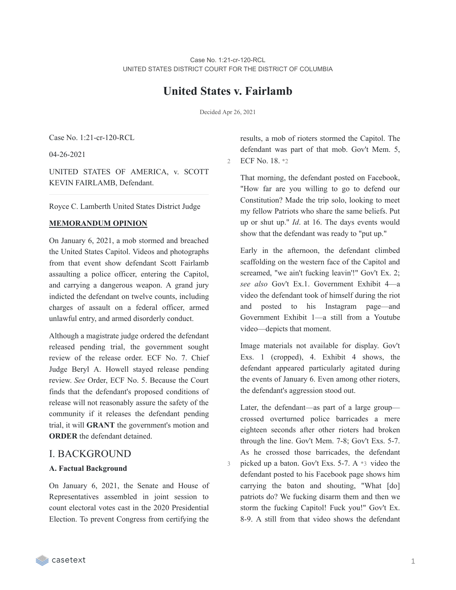# **United States v. Fairlamb**

Decided Apr 26, 2021

3

Case No. 1:21-cr-120-RCL

04-26-2021

UNITED STATES OF AMERICA, v. SCOTT KEVIN FAIRLAMB, Defendant.

Royce C. Lamberth United States District Judge

## **MEMORANDUM OPINION**

On January 6, 2021, a mob stormed and breached the United States Capitol. Videos and photographs from that event show defendant Scott Fairlamb assaulting a police officer, entering the Capitol, and carrying a dangerous weapon. A grand jury indicted the defendant on twelve counts, including charges of assault on a federal officer, armed unlawful entry, and armed disorderly conduct.

Although a magistrate judge ordered the defendant released pending trial, the government sought review of the release order. ECF No. 7. Chief Judge Beryl A. Howell stayed release pending review. *See* Order, ECF No. 5. Because the Court finds that the defendant's proposed conditions of release will not reasonably assure the safety of the community if it releases the defendant pending trial, it will **GRANT** the government's motion and **ORDER** the defendant detained.

## I. BACKGROUND

## **A. Factual Background**

On January 6, 2021, the Senate and House of Representatives assembled in joint session to count electoral votes cast in the 2020 Presidential Election. To prevent Congress from certifying the

results, a mob of rioters stormed the Capitol. The defendant was part of that mob. Gov't Mem. 5, 2 ECF No. 18. \*2

That morning, the defendant posted on Facebook, "How far are you willing to go to defend our Constitution? Made the trip solo, looking to meet my fellow Patriots who share the same beliefs. Put up or shut up." *Id*. at 16. The days events would show that the defendant was ready to "put up."

Early in the afternoon, the defendant climbed scaffolding on the western face of the Capitol and screamed, "we ain't fucking leavin'!" Gov't Ex. 2; *see also* Gov't Ex.1. Government Exhibit 4—a video the defendant took of himself during the riot and posted to his Instagram page—and Government Exhibit 1—a still from a Youtube video—depicts that moment.

Image materials not available for display. Gov't Exs. 1 (cropped), 4. Exhibit 4 shows, the defendant appeared particularly agitated during the events of January 6. Even among other rioters, the defendant's aggression stood out.

Later, the defendant—as part of a large group crossed overturned police barricades a mere eighteen seconds after other rioters had broken through the line. Gov't Mem. 7-8; Gov't Exs. 5-7. As he crossed those barricades, the defendant picked up a baton. Gov't Exs. 5-7. A \*3 video the defendant posted to his Facebook page shows him carrying the baton and shouting, "What [do] patriots do? We fucking disarm them and then we storm the fucking Capitol! Fuck you!" Gov't Ex. 8-9. A still from that video shows the defendant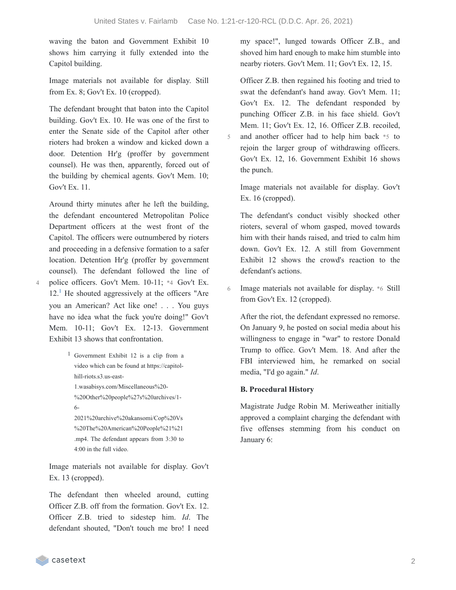5

6

waving the baton and Government Exhibit 10 shows him carrying it fully extended into the Capitol building.

Image materials not available for display. Still from Ex. 8; Gov't Ex. 10 (cropped).

The defendant brought that baton into the Capitol building. Gov't Ex. 10. He was one of the first to enter the Senate side of the Capitol after other rioters had broken a window and kicked down a door. Detention Hr'g (proffer by government counsel). He was then, apparently, forced out of the building by chemical agents. Gov't Mem. 10; Gov't Ex. 11.

Around thirty minutes after he left the building, the defendant encountered Metropolitan Police Department officers at the west front of the Capitol. The officers were outnumbered by rioters and proceeding in a defensive formation to a safer location. Detention Hr'g (proffer by government counsel). The defendant followed the line of police officers. Gov't Mem. 10-11; \*4 Gov't Ex.  $12<sup>1</sup>$  $12<sup>1</sup>$  He shouted aggressively at the officers "Are you an American? Act like one! . . . You guys have no idea what the fuck you're doing!" Gov't Mem. 10-11; Gov't Ex. 12-13. Government Exhibit 13 shows that confrontation.

```
1 Government Exhibit 12 is a clip from a
  video which can be found at https://capitol-
  hill-riots.s3.us-east-
  1.wasabisys.com/Miscellaneous%20-
  %20Other%20people%27s%20archives/1-
  6-
```

```
2021%20archive%20akansomi/Cop%20Vs
%20The%20American%20People%21%21
.mp4. The defendant appears from 3:30 to
4:00 in the full video.
```
Image materials not available for display. Gov't Ex. 13 (cropped).

The defendant then wheeled around, cutting Officer Z.B. off from the formation. Gov't Ex. 12. Officer Z.B. tried to sidestep him. *Id*. The defendant shouted, "Don't touch me bro! I need my space!", lunged towards Officer Z.B., and shoved him hard enough to make him stumble into nearby rioters. Gov't Mem. 11; Gov't Ex. 12, 15.

Officer Z.B. then regained his footing and tried to swat the defendant's hand away. Gov't Mem. 11; Gov't Ex. 12. The defendant responded by punching Officer Z.B. in his face shield. Gov't Mem. 11; Gov't Ex. 12, 16. Officer Z.B. recoiled, and another officer had to help him back \*5 to rejoin the larger group of withdrawing officers. Gov't Ex. 12, 16. Government Exhibit 16 shows the punch.

Image materials not available for display. Gov't Ex. 16 (cropped).

The defendant's conduct visibly shocked other rioters, several of whom gasped, moved towards him with their hands raised, and tried to calm him down. Gov't Ex. 12. A still from Government Exhibit 12 shows the crowd's reaction to the defendant's actions.

Image materials not available for display. \*6 Still from Gov't Ex. 12 (cropped).

After the riot, the defendant expressed no remorse. On January 9, he posted on social media about his willingness to engage in "war" to restore Donald Trump to office. Gov't Mem. 18. And after the FBI interviewed him, he remarked on social media, "I'd go again." *Id*.

## **B. Procedural History**

Magistrate Judge Robin M. Meriweather initially approved a complaint charging the defendant with five offenses stemming from his conduct on January 6: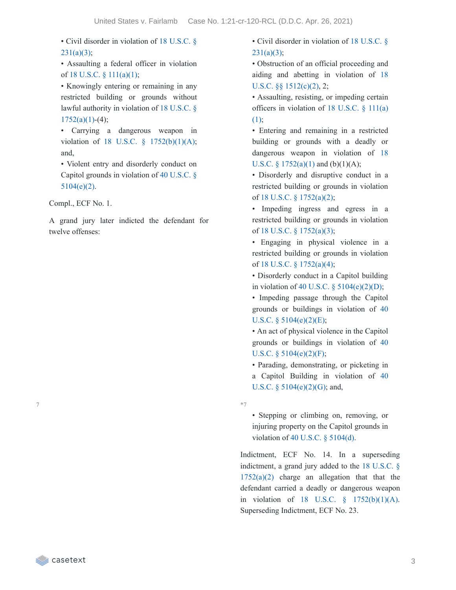• Civil disorder in violation of 18 U.S.C. §  $231(a)(3);$ 

• Assaulting a federal officer in violation of 18 U.S.C. §  $111(a)(1)$ ;

• Knowingly entering or remaining in any restricted building or grounds without lawful authority in violation of 18 U.S.C. §  $1752(a)(1)-(4);$ 

• Carrying a dangerous weapon in violation of 18 U.S.C. § [1752\(b\)\(1\)\(A\);](https://casetext.com/statute/united-states-code/title-18-crimes-and-criminal-procedure/part-i-crimes/chapter-84-presidential-and-presidential-staff-assassination-kidnapping-and-assault/section-1752-restricted-building-or-grounds) and,

• Violent entry and disorderly conduct on Capitol grounds in violation of 40 U.S.C. § [5104\(e\)\(2\).](https://casetext.com/statute/united-states-code/title-40-public-buildings-property-and-works/subtitle-ii-public-buildings-and-works/part-b-united-states-capitol/chapter-51-united-states-capitol-buildings-and-grounds/section-5104-unlawful-activities)

Compl., ECF No. 1.

A grand jury later indicted the defendant for twelve offenses:

• Civil disorder in violation of 18 U.S.C. §  $231(a)(3);$ 

• Obstruction of an official proceeding and aiding and abetting in violation of 18 U.S.C. §§ [1512\(c\)\(2\),](https://casetext.com/statute/united-states-code/title-18-crimes-and-criminal-procedure/part-i-crimes/chapter-73-obstruction-of-justice/section-1512-tampering-with-a-witness-victim-or-an-informant) 2;

• Assaulting, resisting, or impeding certain officers in [violation](https://casetext.com/statute/united-states-code/title-18-crimes-and-criminal-procedure/part-i-crimes/chapter-7-assault/section-111-assaulting-resisting-or-impeding-certain-officers-or-employees) of 18 U.S.C. § 111(a) (1);

• Entering and remaining in a restricted building or grounds with a deadly or dangerous weapon in violation of 18 U.S.C. §  $1752(a)(1)$  and  $(b)(1)(A)$ ;

• Disorderly and disruptive conduct in a restricted building or grounds in violation of 18 U.S.C. § [1752\(a\)\(2\)](https://casetext.com/statute/united-states-code/title-18-crimes-and-criminal-procedure/part-i-crimes/chapter-84-presidential-and-presidential-staff-assassination-kidnapping-and-assault/section-1752-restricted-building-or-grounds);

• Impeding ingress and egress in a restricted building or grounds in violation of 18 U.S.C. § [1752\(a\)\(3\)](https://casetext.com/statute/united-states-code/title-18-crimes-and-criminal-procedure/part-i-crimes/chapter-84-presidential-and-presidential-staff-assassination-kidnapping-and-assault/section-1752-restricted-building-or-grounds);

• Engaging in physical violence in a restricted building or grounds in violation of 18 U.S.C. § [1752\(a\)\(4\)](https://casetext.com/statute/united-states-code/title-18-crimes-and-criminal-procedure/part-i-crimes/chapter-84-presidential-and-presidential-staff-assassination-kidnapping-and-assault/section-1752-restricted-building-or-grounds);

• Disorderly conduct in a Capitol building in violation of 40 U.S.C.  $\S$  [5104\(e\)\(2\)\(D\);](https://casetext.com/statute/united-states-code/title-40-public-buildings-property-and-works/subtitle-ii-public-buildings-and-works/part-b-united-states-capitol/chapter-51-united-states-capitol-buildings-and-grounds/section-5104-unlawful-activities)

• Impeding passage through the Capitol grounds or buildings in violation of 40 U.S.C.  $\S$  [5104\(e\)\(2\)\(E\);](https://casetext.com/statute/united-states-code/title-40-public-buildings-property-and-works/subtitle-ii-public-buildings-and-works/part-b-united-states-capitol/chapter-51-united-states-capitol-buildings-and-grounds/section-5104-unlawful-activities)

• An act of physical violence in the Capitol grounds or buildings in violation of 40 U.S.C. § [5104\(e\)\(2\)\(F\);](https://casetext.com/statute/united-states-code/title-40-public-buildings-property-and-works/subtitle-ii-public-buildings-and-works/part-b-united-states-capitol/chapter-51-united-states-capitol-buildings-and-grounds/section-5104-unlawful-activities)

• Parading, demonstrating, or picketing in a Capitol Building in violation of 40 U.S.C. § [5104\(e\)\(2\)\(G\);](https://casetext.com/statute/united-states-code/title-40-public-buildings-property-and-works/subtitle-ii-public-buildings-and-works/part-b-united-states-capitol/chapter-51-united-states-capitol-buildings-and-grounds/section-5104-unlawful-activities) and,

\*7

• Stepping or climbing on, removing, or injuring property on the Capitol grounds in violation of 40 U.S.C. § [5104\(d\).](https://casetext.com/statute/united-states-code/title-40-public-buildings-property-and-works/subtitle-ii-public-buildings-and-works/part-b-united-states-capitol/chapter-51-united-states-capitol-buildings-and-grounds/section-5104-unlawful-activities)

Indictment, ECF No. 14. In a superseding [indictment,](https://casetext.com/statute/united-states-code/title-18-crimes-and-criminal-procedure/part-i-crimes/chapter-84-presidential-and-presidential-staff-assassination-kidnapping-and-assault/section-1752-restricted-building-or-grounds) a grand jury added to the 18 U.S.C. § 1752(a)(2) charge an allegation that that the defendant carried a deadly or dangerous weapon in violation of 18 U.S.C. § [1752\(b\)\(1\)\(A\).](https://casetext.com/statute/united-states-code/title-18-crimes-and-criminal-procedure/part-i-crimes/chapter-84-presidential-and-presidential-staff-assassination-kidnapping-and-assault/section-1752-restricted-building-or-grounds) Superseding Indictment, ECF No. 23.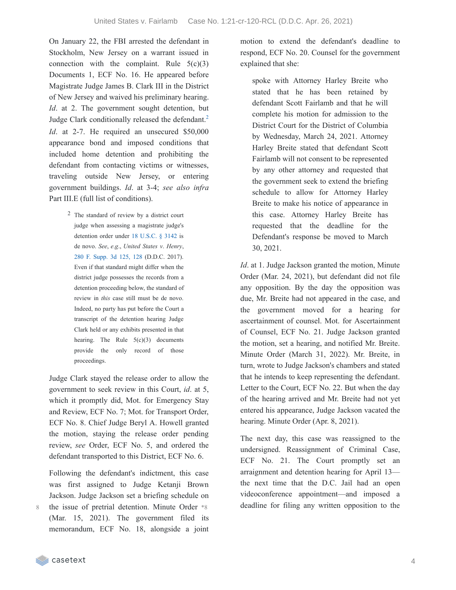On January 22, the FBI arrested the defendant in Stockholm, New Jersey on a warrant issued in connection with the complaint. Rule  $5(c)(3)$ Documents 1, ECF No. 16. He appeared before Magistrate Judge James B. Clark III in the District of New Jersey and waived his preliminary hearing. *Id*. at 2. The government sought detention, but Judge Clark conditionally released the defendant.<sup>[2](https://casetext.com/_print/doc/united-states-v-fairlamb?_printIncludeHighlights=false&_printIncludeKeyPassages=false&_printIsTwoColumn=true&_printEmail=&_printHighlightsKey=#N196764)</sup> *Id.* at 2-7. He required an unsecured \$50,000 appearance bond and imposed conditions that included home detention and prohibiting the defendant from contacting victims or witnesses, traveling outside New Jersey, or entering government buildings. *Id*. at 3-4; *see also infra* Part III.E (full list of conditions).

> 2 The standard of review by a district court judge when assessing a magistrate judge's detention order under 18 [U.S.C.](https://casetext.com/statute/united-states-code/title-18-crimes-and-criminal-procedure/part-ii-criminal-procedure/chapter-207-release-and-detention-pending-judicial-proceedings/section-3142-release-or-detention-of-a-defendant-pending-trial) § 3142 is de novo. *See*, *e*.*g*., *United States v*. *Henry*, 280 F. [Supp.](https://casetext.com/case/united-states-v-henry-247#p128) 3d 125, 128 (D.D.C. 2017). Even if that standard might differ when the district judge possesses the records from a detention proceeding below, the standard of review in *this* case still must be de novo. Indeed, no party has put before the Court a transcript of the detention hearing Judge Clark held or any exhibits presented in that hearing. The Rule  $5(c)(3)$  documents provide the only record of those proceedings.

Judge Clark stayed the release order to allow the government to seek review in this Court, *id*. at 5, which it promptly did, Mot. for Emergency Stay and Review, ECF No. 7; Mot. for Transport Order, ECF No. 8. Chief Judge Beryl A. Howell granted the motion, staying the release order pending review, *see* Order, ECF No. 5, and ordered the defendant transported to this District, ECF No. 6.

Following the defendant's indictment, this case was first assigned to Judge Ketanji Brown Jackson. Judge Jackson set a briefing schedule on the issue of pretrial detention. Minute Order \*8 (Mar. 15, 2021). The government filed its memorandum, ECF No. 18, alongside a joint motion to extend the defendant's deadline to respond, ECF No. 20. Counsel for the government explained that she:

spoke with Attorney Harley Breite who stated that he has been retained by defendant Scott Fairlamb and that he will complete his motion for admission to the District Court for the District of Columbia by Wednesday, March 24, 2021. Attorney Harley Breite stated that defendant Scott Fairlamb will not consent to be represented by any other attorney and requested that the government seek to extend the briefing schedule to allow for Attorney Harley Breite to make his notice of appearance in this case. Attorney Harley Breite has requested that the deadline for the Defendant's response be moved to March 30, 2021.

*Id*. at 1. Judge Jackson granted the motion, Minute Order (Mar. 24, 2021), but defendant did not file any opposition. By the day the opposition was due, Mr. Breite had not appeared in the case, and the government moved for a hearing for ascertainment of counsel. Mot. for Ascertainment of Counsel, ECF No. 21. Judge Jackson granted the motion, set a hearing, and notified Mr. Breite. Minute Order (March 31, 2022). Mr. Breite, in turn, wrote to Judge Jackson's chambers and stated that he intends to keep representing the defendant. Letter to the Court, ECF No. 22. But when the day of the hearing arrived and Mr. Breite had not yet entered his appearance, Judge Jackson vacated the hearing. Minute Order (Apr. 8, 2021).

The next day, this case was reassigned to the undersigned. Reassignment of Criminal Case, ECF No. 21. The Court promptly set an arraignment and detention hearing for April 13 the next time that the D.C. Jail had an open videoconference appointment—and imposed a deadline for filing any written opposition to the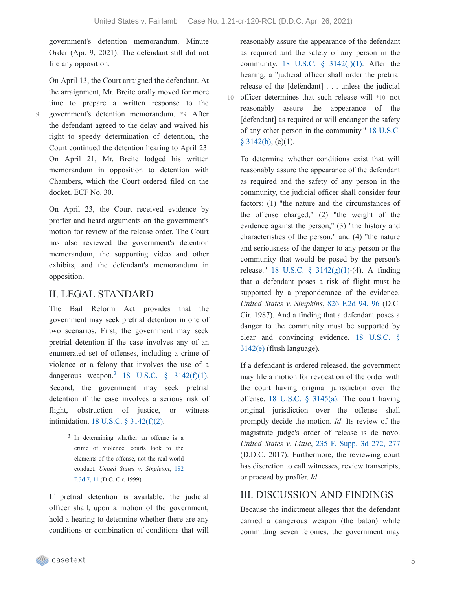government's detention memorandum. Minute Order (Apr. 9, 2021). The defendant still did not file any opposition.

On April 13, the Court arraigned the defendant. At

the arraignment, Mr. Breite orally moved for more time to prepare a written response to the government's detention memorandum. \*9 After the defendant agreed to the delay and waived his right to speedy determination of detention, the Court continued the detention hearing to April 23. On April 21, Mr. Breite lodged his written memorandum in opposition to detention with Chambers, which the Court ordered filed on the docket. ECF No. 30.

 $\overline{Q}$ 

On April 23, the Court received evidence by proffer and heard arguments on the government's motion for review of the release order. The Court has also reviewed the government's detention memorandum, the supporting video and other exhibits, and the defendant's memorandum in opposition.

## II. LEGAL STANDARD

The Bail Reform Act provides that the government may seek pretrial detention in one of two scenarios. First, the government may seek pretrial detention if the case involves any of an enumerated set of offenses, including a crime of violence or a felony that involves the use of a dangerous weapon.<sup>[3](https://casetext.com/_print/doc/united-states-v-fairlamb?_printIncludeHighlights=false&_printIncludeKeyPassages=false&_printIsTwoColumn=true&_printEmail=&_printHighlightsKey=#N196814)</sup> 18 U.S.C.  $\S$  [3142\(f\)\(1\).](https://casetext.com/statute/united-states-code/title-18-crimes-and-criminal-procedure/part-ii-criminal-procedure/chapter-207-release-and-detention-pending-judicial-proceedings/section-3142-release-or-detention-of-a-defendant-pending-trial) Second, the government may seek pretrial detention if the case involves a serious risk of flight, obstruction of justice, or witness intimidation. 18 U.S.C. § [3142\(f\)\(2\).](https://casetext.com/statute/united-states-code/title-18-crimes-and-criminal-procedure/part-ii-criminal-procedure/chapter-207-release-and-detention-pending-judicial-proceedings/section-3142-release-or-detention-of-a-defendant-pending-trial)

> 3 In determining whether an offense is a crime of violence, courts look to the elements of the offense, not the real-world conduct. *United States v*. *[Singleton](https://casetext.com/case/us-v-singleton-68#p11)*, 182 F.3d 7, 11 (D.C. Cir. 1999).

If pretrial detention is available, the judicial officer shall, upon a motion of the government, hold a hearing to determine whether there are any conditions or combination of conditions that will

reasonably assure the appearance of the defendant as required and the safety of any person in the community. 18 U.S.C.  $\S$  [3142\(f\)\(1\)](https://casetext.com/statute/united-states-code/title-18-crimes-and-criminal-procedure/part-ii-criminal-procedure/chapter-207-release-and-detention-pending-judicial-proceedings/section-3142-release-or-detention-of-a-defendant-pending-trial). After the hearing, a "judicial officer shall order the pretrial release of the [defendant] . . . unless the judicial 10 officer determines that such release will \*10 not reasonably assure the appearance of the [defendant] as required or will endanger the safety of any other person in the [community."](https://casetext.com/statute/united-states-code/title-18-crimes-and-criminal-procedure/part-ii-criminal-procedure/chapter-207-release-and-detention-pending-judicial-proceedings/section-3142-release-or-detention-of-a-defendant-pending-trial) 18 U.S.C.  $§$  3142(b), (e)(1).

To determine whether conditions exist that will reasonably assure the appearance of the defendant as required and the safety of any person in the community, the judicial officer shall consider four factors: (1) "the nature and the circumstances of the offense charged," (2) "the weight of the evidence against the person," (3) "the history and characteristics of the person," and (4) "the nature and seriousness of the danger to any person or the community that would be posed by the person's release." 18 U.S.C. § [3142\(g\)\(1\)-](https://casetext.com/statute/united-states-code/title-18-crimes-and-criminal-procedure/part-ii-criminal-procedure/chapter-207-release-and-detention-pending-judicial-proceedings/section-3142-release-or-detention-of-a-defendant-pending-trial)(4). A finding that a defendant poses a risk of flight must be supported by a preponderance of the evidence. *United States v*. *Simpkins*, 826 [F.2d](https://casetext.com/case/us-v-simpkins-3#p96) 94, 96 (D.C. Cir. 1987). And a finding that a defendant poses a danger to the community must be supported by clear and [convincing](https://casetext.com/statute/united-states-code/title-18-crimes-and-criminal-procedure/part-ii-criminal-procedure/chapter-207-release-and-detention-pending-judicial-proceedings/section-3142-release-or-detention-of-a-defendant-pending-trial) evidence. 18 U.S.C. § 3142(e) (flush language).

If a defendant is ordered released, the government may file a motion for revocation of the order with the court having original jurisdiction over the offense. 18 U.S.C.  $\S$  [3145\(a\).](https://casetext.com/statute/united-states-code/title-18-crimes-and-criminal-procedure/part-ii-criminal-procedure/chapter-207-release-and-detention-pending-judicial-proceedings/section-3145-review-and-appeal-of-a-release-or-detention-order) The court having original jurisdiction over the offense shall promptly decide the motion. *Id*. Its review of the magistrate judge's order of release is de novo. *United States v*. *Little*, 235 F. [Supp.](https://casetext.com/case/united-states-v-little-93#p277) 3d 272, 277 (D.D.C. 2017). Furthermore, the reviewing court has discretion to call witnesses, review transcripts, or proceed by proffer. *Id*.

# III. DISCUSSION AND FINDINGS

Because the indictment alleges that the defendant carried a dangerous weapon (the baton) while committing seven felonies, the government may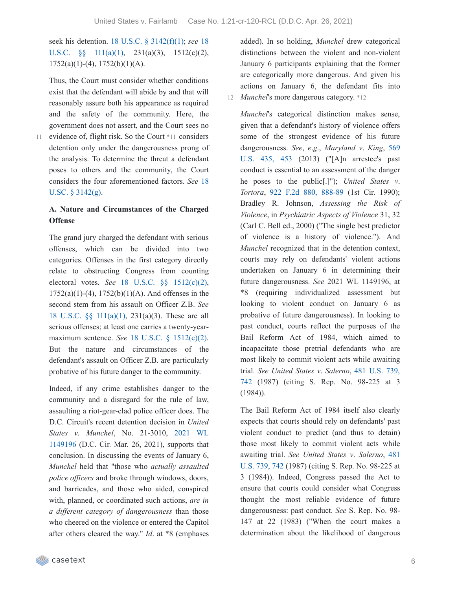seek his detention. 18 U.S.C. § [3142\(f\)\(1\);](https://casetext.com/statute/united-states-code/title-18-crimes-and-criminal-procedure/part-ii-criminal-procedure/chapter-207-release-and-detention-pending-judicial-proceedings/section-3142-release-or-detention-of-a-defendant-pending-trial) *see* 18 U.S.C. §§ 111(a)(1), 231(a)(3), [1512\(c\)\(2\),](https://casetext.com/statute/united-states-code/title-18-crimes-and-criminal-procedure/part-i-crimes/chapter-7-assault/section-111-assaulting-resisting-or-impeding-certain-officers-or-employees)  $1752(a)(1)-(4)$ ,  $1752(b)(1)(A)$ .

Thus, the Court must consider whether conditions exist that the defendant will abide by and that will reasonably assure both his appearance as required and the safety of the community. Here, the government does not assert, and the Court sees no

evidence of, flight risk. So the Court \*11 considers 11 detention only under the dangerousness prong of the analysis. To determine the threat a defendant poses to others and the community, the Court considers the four [aforementioned](https://casetext.com/statute/united-states-code/title-18-crimes-and-criminal-procedure/part-ii-criminal-procedure/chapter-207-release-and-detention-pending-judicial-proceedings/section-3142-release-or-detention-of-a-defendant-pending-trial) factors. *See* 18 U.SC. § 3142(g).

## **A. Nature and Circumstances of the Charged Offense**

The grand jury charged the defendant with serious offenses, which can be divided into two categories. Offenses in the first category directly relate to obstructing Congress from counting electoral votes. *See* 18 U.S.C. §§ [1512\(c\)\(2\),](https://casetext.com/statute/united-states-code/title-18-crimes-and-criminal-procedure/part-i-crimes/chapter-73-obstruction-of-justice/section-1512-tampering-with-a-witness-victim-or-an-informant)  $1752(a)(1)-(4)$ ,  $1752(b)(1)(A)$ . And offenses in the second stem from his assault on Officer Z.B. *See* 18 U.S.C. §§ [111\(a\)\(1\)](https://casetext.com/statute/united-states-code/title-18-crimes-and-criminal-procedure/part-i-crimes/chapter-7-assault/section-111-assaulting-resisting-or-impeding-certain-officers-or-employees), 231(a)(3). These are all serious offenses; at least one carries a twenty-yearmaximum sentence. *See* 18 U.S.C. § [1512\(c\)\(2\).](https://casetext.com/statute/united-states-code/title-18-crimes-and-criminal-procedure/part-i-crimes/chapter-73-obstruction-of-justice/section-1512-tampering-with-a-witness-victim-or-an-informant) But the nature and circumstances of the defendant's assault on Officer Z.B. are particularly probative of his future danger to the community.

Indeed, if any crime establishes danger to the community and a disregard for the rule of law, assaulting a riot-gear-clad police officer does. The D.C. Circuit's recent detention decision in *United States v*. *Munchel*, No. [21-3010,](https://casetext.com/case/united-states-v-munchel-1) 2021 WL 1149196 (D.C. Cir. Mar. 26, 2021), supports that conclusion. In discussing the events of January 6, *Munchel* held that "those who *actually assaulted police officers* and broke through windows, doors, and barricades, and those who aided, conspired with, planned, or coordinated such actions, *are in a dif erent category of dangerousness* than those who cheered on the violence or entered the Capitol after others cleared the way." *Id*. at \*8 (emphases

added). In so holding, *Munchel* drew categorical distinctions between the violent and non-violent January 6 participants explaining that the former are categorically more dangerous. And given his actions on January 6, the defendant fits into 12 *Munchel*'s more dangerous category. \*12

*Munchel*'s categorical distinction makes sense, given that a defendant's history of violence offers some of the strongest evidence of his future [dangerousness.](https://casetext.com/case/maryland-v-king-8#p453) *See*, *e*.*g*., *Maryland v*. *King*, 569 U.S. 435, 453 (2013) ("[A]n arrestee's past conduct is essential to an assessment of the danger he poses to the public[.]"); *United States v*. *Tortora*, 922 F.2d 880, [888-89](https://casetext.com/case/us-v-tortora-3#p888) (1st Cir. 1990); Bradley R. Johnson, *Assessing the Risk of Violence*, in *Psychiatric Aspects of Violence* 31, 32 (Carl C. Bell ed., 2000) ("The single best predictor of violence is a history of violence."). And *Munchel* recognized that in the detention context, courts may rely on defendants' violent actions undertaken on January 6 in determining their future dangerousness. *See* 2021 WL 1149196, at \*8 (requiring individualized assessment but looking to violent conduct on January 6 as probative of future dangerousness). In looking to past conduct, courts reflect the purposes of the Bail Reform Act of 1984, which aimed to incapacitate those pretrial defendants who are most likely to commit violent acts while awaiting trial. *See United States v*. *[Salerno](https://casetext.com/case/united-states-v-salerno-7#p742)*, 481 U.S. 739, 742 (1987) (citing S. Rep. No. 98-225 at 3 (1984)).

The Bail Reform Act of 1984 itself also clearly expects that courts should rely on defendants' past violent conduct to predict (and thus to detain) those most likely to commit violent acts while [awaiting](https://casetext.com/case/united-states-v-salerno-7#p742) trial. *See United States v*. *Salerno*, 481 U.S. 739, 742 (1987) (citing S. Rep. No. 98-225 at 3 (1984)). Indeed, Congress passed the Act to ensure that courts could consider what Congress thought the most reliable evidence of future dangerousness: past conduct. *See* S. Rep. No. 98- 147 at 22 (1983) ("When the court makes a determination about the likelihood of dangerous

casetext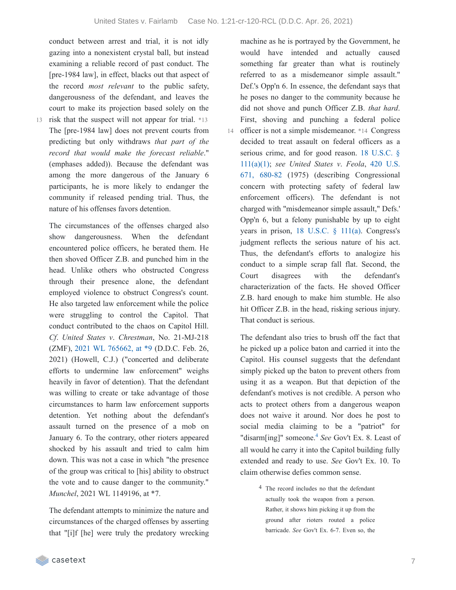conduct between arrest and trial, it is not idly gazing into a nonexistent crystal ball, but instead examining a reliable record of past conduct. The [pre-1984 law], in effect, blacks out that aspect of the record *most relevant* to the public safety, dangerousness of the defendant, and leaves the court to make its projection based solely on the

13 risk that the suspect will not appear for trial. \*13 The [pre-1984 law] does not prevent courts from predicting but only withdraws *that part of the record that would make the forecast reliable*." (emphases added)). Because the defendant was among the more dangerous of the January 6 participants, he is more likely to endanger the community if released pending trial. Thus, the nature of his offenses favors detention.

The circumstances of the offenses charged also show dangerousness. When the defendant encountered police officers, he berated them. He then shoved Officer Z.B. and punched him in the head. Unlike others who obstructed Congress through their presence alone, the defendant employed violence to obstruct Congress's count. He also targeted law enforcement while the police were struggling to control the Capitol. That conduct contributed to the chaos on Capitol Hill. *Cf*. *United States v*. *Chrestman*, No. 21-MJ-218 (ZMF), 2021 WL [765662,](https://casetext.com/case/united-states-v-chrestman-2#p9) at \*9 (D.D.C. Feb. 26, 2021) (Howell, C.J.) ("concerted and deliberate efforts to undermine law enforcement" weighs heavily in favor of detention). That the defendant was willing to create or take advantage of those circumstances to harm law enforcement supports detention. Yet nothing about the defendant's assault turned on the presence of a mob on January 6. To the contrary, other rioters appeared shocked by his assault and tried to calm him down. This was not a case in which "the presence of the group was critical to [his] ability to obstruct the vote and to cause danger to the community." *Munchel*, 2021 WL 1149196, at \*7.

The defendant attempts to minimize the nature and circumstances of the charged offenses by asserting that "[i]f [he] were truly the predatory wrecking machine as he is portrayed by the Government, he would have intended and actually caused something far greater than what is routinely referred to as a misdemeanor simple assault." Def.'s Opp'n 6. In essence, the defendant says that he poses no danger to the community because he did not shove and punch Officer Z.B. *that hard*. First, shoving and punching a federal police

14 officer is not a simple misdemeanor. \*14 Congress decided to treat assault on federal officers as a serious crime, and for good reason. 18 U.S.C. § [111\(a\)\(1\);](https://casetext.com/statute/united-states-code/title-18-crimes-and-criminal-procedure/part-i-crimes/chapter-7-assault/section-111-assaulting-resisting-or-impeding-certain-officers-or-employees) *see United States v*. *Feola*, 420 U.S. 671, 680-82 (1975) (describing [Congressional](https://casetext.com/case/united-states-v-feola#p680) concern with protecting safety of federal law enforcement officers). The defendant is not charged with "misdemeanor simple assault," Defs.' Opp'n 6, but a felony punishable by up to eight years in prison, 18 [U.S.C.](https://casetext.com/statute/united-states-code/title-18-crimes-and-criminal-procedure/part-i-crimes/chapter-7-assault/section-111-assaulting-resisting-or-impeding-certain-officers-or-employees) § 111(a). Congress's judgment reflects the serious nature of his act. Thus, the defendant's efforts to analogize his conduct to a simple scrap fall flat. Second, the Court disagrees with the defendant's characterization of the facts. He shoved Officer Z.B. hard enough to make him stumble. He also hit Officer Z.B. in the head, risking serious injury. That conduct is serious.

The defendant also tries to brush off the fact that he picked up a police baton and carried it into the Capitol. His counsel suggests that the defendant simply picked up the baton to prevent others from using it as a weapon. But that depiction of the defendant's motives is not credible. A person who acts to protect others from a dangerous weapon does not waive it around. Nor does he post to social media claiming to be a "patriot" for "disarm[ing]" someone.<sup>[4](https://casetext.com/_print/doc/united-states-v-fairlamb?_printIncludeHighlights=false&_printIncludeKeyPassages=false&_printIsTwoColumn=true&_printEmail=&_printHighlightsKey=#N197003)</sup> See Gov't Ex. 8. Least of all would he carry it into the Capitol building fully extended and ready to use. *See* Gov't Ex. 10. To claim otherwise defies common sense.

> 4 The record includes no that the defendant actually took the weapon from a person. Rather, it shows him picking it up from the ground after rioters routed a police barricade. *See* Gov't Ex. 6-7. Even so, the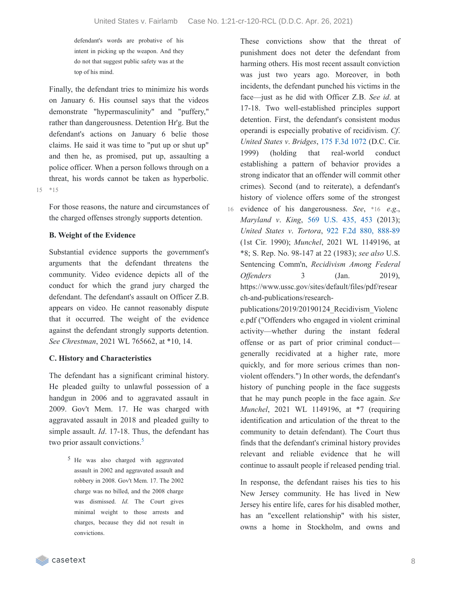defendant's words are probative of his intent in picking up the weapon. And they do not that suggest public safety was at the top of his mind.

Finally, the defendant tries to minimize his words on January 6. His counsel says that the videos demonstrate "hypermasculinity" and "puffery," rather than dangerousness. Detention Hr'g. But the defendant's actions on January 6 belie those claims. He said it was time to "put up or shut up" and then he, as promised, put up, assaulting a police officer. When a person follows through on a threat, his words cannot be taken as hyperbolic. 15 \*15

For those reasons, the nature and circumstances of the charged offenses strongly supports detention.

## **B. Weight of the Evidence**

Substantial evidence supports the government's arguments that the defendant threatens the community. Video evidence depicts all of the conduct for which the grand jury charged the defendant. The defendant's assault on Officer Z.B. appears on video. He cannot reasonably dispute that it occurred. The weight of the evidence against the defendant strongly supports detention. *See Chrestman*, 2021 WL 765662, at \*10, 14.

## **C. History and Characteristics**

The defendant has a significant criminal history. He pleaded guilty to unlawful possession of a handgun in 2006 and to aggravated assault in 2009. Gov't Mem. 17. He was charged with aggravated assault in 2018 and pleaded guilty to simple assault. *Id*. 17-18. Thus, the defendant has two prior assault convictions. [5](https://casetext.com/_print/doc/united-states-v-fairlamb?_printIncludeHighlights=false&_printIncludeKeyPassages=false&_printIsTwoColumn=true&_printEmail=&_printHighlightsKey=#N197040)

> 5 He was also charged with aggravated assault in 2002 and aggravated assault and robbery in 2008. Gov't Mem. 17. The 2002 charge was no billed, and the 2008 charge was dismissed. *Id*. The Court gives minimal weight to those arrests and charges, because they did not result in convictions.

These convictions show that the threat of punishment does not deter the defendant from harming others. His most recent assault conviction was just two years ago. Moreover, in both incidents, the defendant punched his victims in the face—just as he did with Officer Z.B. *See id*. at 17-18. Two well-established principles support detention. First, the defendant's consistent modus operandi is especially probative of recidivism. *Cf*. *United States v*. *Bridges*, 175 F.3d [1072](https://casetext.com/case/us-v-bridges-18) (D.C. Cir. 1999) (holding that real-world conduct establishing a pattern of behavior provides a strong indicator that an offender will commit other crimes). Second (and to reiterate), a defendant's history of violence offers some of the strongest evidence of his dangerousness. *See*, \*16 *e*.*g*., 16 *Maryland v*. *King*, 569 [U.S.](https://casetext.com/case/maryland-v-king-8#p453) 435, 453 (2013); *United States v*. *Tortora*, 922 F.2d 880, [888-89](https://casetext.com/case/us-v-tortora-3#p888) (1st Cir. 1990); *Munchel*, 2021 WL 1149196, at \*8; S. Rep. No. 98-147 at 22 (1983); *see also* U.S. Sentencing Comm'n, *Recidivism Among Federal Offenders* 3 (Jan. 2019).

https://www.ussc.gov/sites/default/files/pdf/resear ch-and-publications/research-

publications/2019/20190124\_Recidivism\_Violenc e.pdf ("Offenders who engaged in violent criminal activity—whether during the instant federal offense or as part of prior criminal conduct generally recidivated at a higher rate, more quickly, and for more serious crimes than nonviolent offenders.") In other words, the defendant's history of punching people in the face suggests that he may punch people in the face again. *See Munchel*, 2021 WL 1149196, at \*7 (requiring identification and articulation of the threat to the community to detain defendant). The Court thus finds that the defendant's criminal history provides relevant and reliable evidence that he will continue to assault people if released pending trial.

In response, the defendant raises his ties to his New Jersey community. He has lived in New Jersey his entire life, cares for his disabled mother, has an "excellent relationship" with his sister, owns a home in Stockholm, and owns and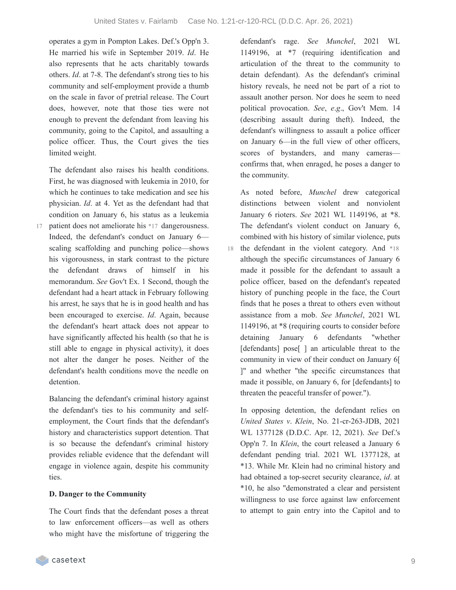operates a gym in Pompton Lakes. Def.'s Opp'n 3. He married his wife in September 2019. *Id*. He also represents that he acts charitably towards others. *Id*. at 7-8. The defendant's strong ties to his community and self-employment provide a thumb on the scale in favor of pretrial release. The Court does, however, note that those ties were not enough to prevent the defendant from leaving his community, going to the Capitol, and assaulting a police officer. Thus, the Court gives the ties limited weight.

The defendant also raises his health conditions. First, he was diagnosed with leukemia in 2010, for which he continues to take medication and see his physician. *Id*. at 4. Yet as the defendant had that condition on January 6, his status as a leukemia patient does not ameliorate his \*17 dangerousness.

Indeed, the defendant's conduct on January 6 scaling scaffolding and punching police—shows his vigorousness, in stark contrast to the picture the defendant draws of himself in his memorandum. *See* Gov't Ex. 1 Second, though the defendant had a heart attack in February following his arrest, he says that he is in good health and has been encouraged to exercise. *Id*. Again, because the defendant's heart attack does not appear to have significantly affected his health (so that he is still able to engage in physical activity), it does not alter the danger he poses. Neither of the defendant's health conditions move the needle on detention.

Balancing the defendant's criminal history against the defendant's ties to his community and selfemployment, the Court finds that the defendant's history and characteristics support detention. That is so because the defendant's criminal history provides reliable evidence that the defendant will engage in violence again, despite his community ties.

## **D. Danger to the Community**

The Court finds that the defendant poses a threat to law enforcement officers—as well as others who might have the misfortune of triggering the defendant's rage. *See Munchel*, 2021 WL 1149196, at \*7 (requiring identification and articulation of the threat to the community to detain defendant). As the defendant's criminal history reveals, he need not be part of a riot to assault another person. Nor does he seem to need political provocation. *See*, *e*.*g*., Gov't Mem. 14 (describing assault during theft). Indeed, the defendant's willingness to assault a police officer on January 6—in the full view of other officers, scores of bystanders, and many cameras confirms that, when enraged, he poses a danger to the community.

As noted before, *Munchel* drew categorical distinctions between violent and nonviolent January 6 rioters. *See* 2021 WL 1149196, at \*8. The defendant's violent conduct on January 6, combined with his history of similar violence, puts 18 the defendant in the violent category. And \*18 although the specific circumstances of January 6 made it possible for the defendant to assault a police officer, based on the defendant's repeated history of punching people in the face, the Court finds that he poses a threat to others even without assistance from a mob. *See Munchel*, 2021 WL 1149196, at \*8 (requiring courts to consider before detaining January 6 defendants "whether [defendants] pose<sup>[]</sup> an articulable threat to the community in view of their conduct on January 6[ ]" and whether "the specific circumstances that made it possible, on January 6, for [defendants] to threaten the peaceful transfer of power.").

In opposing detention, the defendant relies on *United States v*. *Klein*, No. 21-cr-263-JDB, 2021 WL 1377128 (D.D.C. Apr. 12, 2021). *See* Def.'s Opp'n 7. In *Klein*, the court released a January 6 defendant pending trial. 2021 WL 1377128, at \*13. While Mr. Klein had no criminal history and had obtained a top-secret security clearance, *id*. at \*10, he also "demonstrated a clear and persistent willingness to use force against law enforcement to attempt to gain entry into the Capitol and to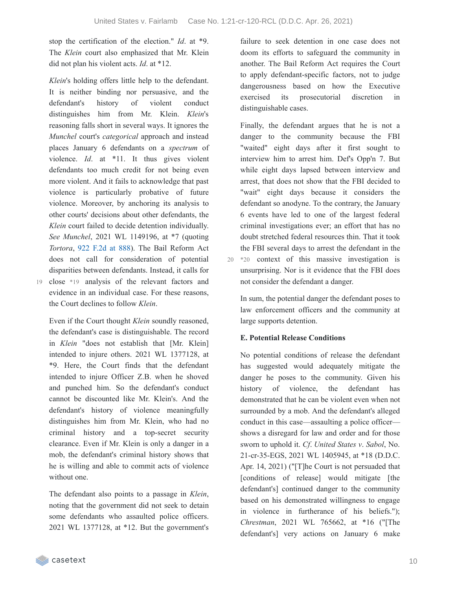20

stop the certification of the election." *Id*. at \*9. The *Klein* court also emphasized that Mr. Klein did not plan his violent acts. *Id*. at \*12.

*Klein*'s holding offers little help to the defendant. It is neither binding nor persuasive, and the defendant's history of violent conduct distinguishes him from Mr. Klein. *Klein*'s reasoning falls short in several ways. It ignores the *Munchel* court's *categorical* approach and instead places January 6 defendants on a *spectrum* of violence. *Id*. at \*11. It thus gives violent defendants too much credit for not being even more violent. And it fails to acknowledge that past violence is particularly probative of future violence. Moreover, by anchoring its analysis to other courts' decisions about other defendants, the *Klein* court failed to decide detention individually. *See Munchel*, 2021 WL 1149196, at \*7 (quoting *Tortora*, 922 [F.2d](https://casetext.com/case/us-v-tortora-3#p888) at 888). The Bail Reform Act does not call for consideration of potential disparities between defendants. Instead, it calls for close \*19 analysis of the relevant factors and evidence in an individual case. For these reasons, the Court declines to follow *Klein*.

Even if the Court thought *Klein* soundly reasoned, the defendant's case is distinguishable. The record in *Klein* "does not establish that [Mr. Klein] intended to injure others. 2021 WL 1377128, at \*9. Here, the Court finds that the defendant intended to injure Officer Z.B. when he shoved and punched him. So the defendant's conduct cannot be discounted like Mr. Klein's. And the defendant's history of violence meaningfully distinguishes him from Mr. Klein, who had no criminal history and a top-secret security clearance. Even if Mr. Klein is only a danger in a mob, the defendant's criminal history shows that he is willing and able to commit acts of violence without one.

The defendant also points to a passage in *Klein*, noting that the government did not seek to detain some defendants who assaulted police officers. 2021 WL 1377128, at \*12. But the government's failure to seek detention in one case does not doom its efforts to safeguard the community in another. The Bail Reform Act requires the Court to apply defendant-specific factors, not to judge dangerousness based on how the Executive exercised its prosecutorial discretion in distinguishable cases.

Finally, the defendant argues that he is not a danger to the community because the FBI "waited" eight days after it first sought to interview him to arrest him. Def's Opp'n 7. But while eight days lapsed between interview and arrest, that does not show that the FBI decided to "wait" eight days because it considers the defendant so anodyne. To the contrary, the January 6 events have led to one of the largest federal criminal investigations ever; an effort that has no doubt stretched federal resources thin. That it took the FBI several days to arrest the defendant in the \*20 context of this massive investigation is unsurprising. Nor is it evidence that the FBI does not consider the defendant a danger.

In sum, the potential danger the defendant poses to law enforcement officers and the community at large supports detention.

## **E. Potential Release Conditions**

No potential conditions of release the defendant has suggested would adequately mitigate the danger he poses to the community. Given his history of violence, the defendant has demonstrated that he can be violent even when not surrounded by a mob. And the defendant's alleged conduct in this case—assaulting a police officer shows a disregard for law and order and for those sworn to uphold it. *Cf*. *United States v*. *Sabol*, No. 21-cr-35-EGS, 2021 WL 1405945, at \*18 (D.D.C. Apr. 14, 2021) ("[T]he Court is not persuaded that [conditions of release] would mitigate [the defendant's] continued danger to the community based on his demonstrated willingness to engage in violence in furtherance of his beliefs."); *Chrestman*, 2021 WL 765662, at \*16 ("[The defendant's] very actions on January 6 make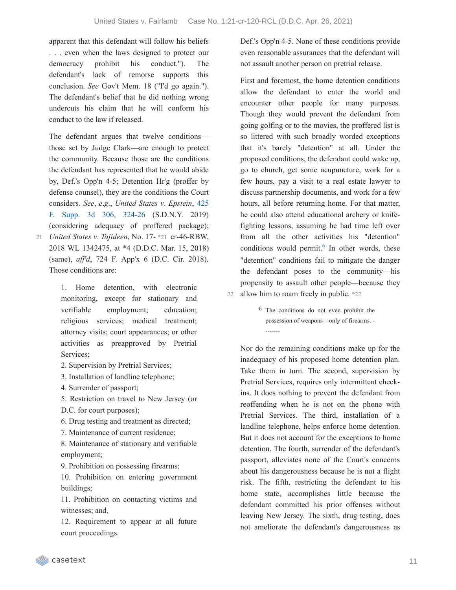apparent that this defendant will follow his beliefs . . . even when the laws designed to protect our democracy prohibit his conduct."). The defendant's lack of remorse supports this conclusion. *See* Gov't Mem. 18 ("I'd go again."). The defendant's belief that he did nothing wrong undercuts his claim that he will conform his conduct to the law if released.

The defendant argues that twelve conditions those set by Judge Clark—are enough to protect the community. Because those are the conditions the defendant has represented that he would abide by, Def.'s Opp'n 4-5; Detention Hr'g (proffer by defense counsel), they are the conditions the Court [considers.](https://casetext.com/case/united-states-v-epstein-23#p324) *See*, *e*.*g*., *United States v*. *Epstein*, 425 F. Supp. 3d 306, 324-26 (S.D.N.Y. 2019) (considering adequacy of proffered package); *United States v*. *Tajideen*, No. 17- \*21 cr-46-RBW, 21 2018 WL 1342475, at \*4 (D.D.C. Mar. 15, 2018) (same), *af 'd*, 724 F. App'x 6 (D.C. Cir. 2018). Those conditions are:

1. Home detention, with electronic monitoring, except for stationary and verifiable employment; education; religious services; medical treatment; attorney visits; court appearances; or other activities as preapproved by Pretrial Services;

- 2. Supervision by Pretrial Services;
- 3. Installation of landline telephone;
- 4. Surrender of passport;

5. Restriction on travel to New Jersey (or

- D.C. for court purposes);
- 6. Drug testing and treatment as directed;
- 7. Maintenance of current residence;

8. Maintenance of stationary and verifiable employment;

9. Prohibition on possessing firearms;

10. Prohibition on entering government buildings;

11. Prohibition on contacting victims and witnesses; and,

12. Requirement to appear at all future court proceedings.

Def.'s Opp'n 4-5. None of these conditions provide even reasonable assurances that the defendant will not assault another person on pretrial release.

First and foremost, the home detention conditions allow the defendant to enter the world and encounter other people for many purposes. Though they would prevent the defendant from going golfing or to the movies, the proffered list is so littered with such broadly worded exceptions that it's barely "detention" at all. Under the proposed conditions, the defendant could wake up, go to church, get some acupuncture, work for a few hours, pay a visit to a real estate lawyer to discuss partnership documents, and work for a few hours, all before returning home. For that matter, he could also attend educational archery or knifefighting lessons, assuming he had time left over from all the other activities his "detention" conditions would permit.<sup>[6](https://casetext.com/_print/doc/united-states-v-fairlamb?_printIncludeHighlights=false&_printIncludeKeyPassages=false&_printIsTwoColumn=true&_printEmail=&_printHighlightsKey=#N197316)</sup> In other words, these "detention" conditions fail to mitigate the danger the defendant poses to the community—his propensity to assault other people—because they 22 allow him to roam freely in public. \*22

> 6 The conditions do not even prohibit the possession of weapons—only of firearms. -

-------

Nor do the remaining conditions make up for the inadequacy of his proposed home detention plan. Take them in turn. The second, supervision by Pretrial Services, requires only intermittent checkins. It does nothing to prevent the defendant from reoffending when he is not on the phone with Pretrial Services. The third, installation of a landline telephone, helps enforce home detention. But it does not account for the exceptions to home detention. The fourth, surrender of the defendant's passport, alleviates none of the Court's concerns about his dangerousness because he is not a flight risk. The fifth, restricting the defendant to his home state, accomplishes little because the defendant committed his prior offenses without leaving New Jersey. The sixth, drug testing, does not ameliorate the defendant's dangerousness as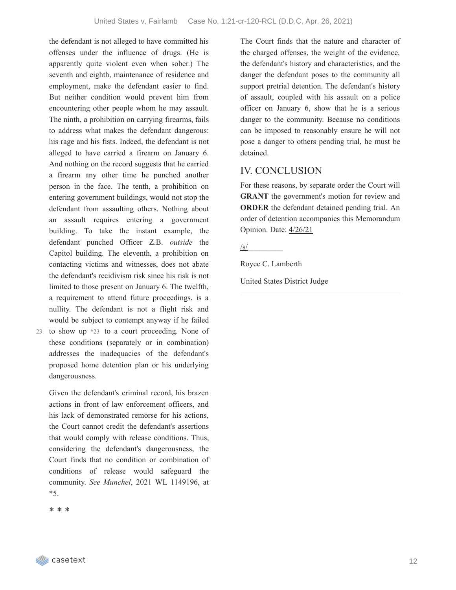the defendant is not alleged to have committed his offenses under the influence of drugs. (He is apparently quite violent even when sober.) The seventh and eighth, maintenance of residence and employment, make the defendant easier to find. But neither condition would prevent him from encountering other people whom he may assault. The ninth, a prohibition on carrying firearms, fails to address what makes the defendant dangerous: his rage and his fists. Indeed, the defendant is not alleged to have carried a firearm on January 6. And nothing on the record suggests that he carried a firearm any other time he punched another person in the face. The tenth, a prohibition on entering government buildings, would not stop the defendant from assaulting others. Nothing about an assault requires entering a government building. To take the instant example, the defendant punched Officer Z.B. *outside* the Capitol building. The eleventh, a prohibition on contacting victims and witnesses, does not abate the defendant's recidivism risk since his risk is not limited to those present on January 6. The twelfth, a requirement to attend future proceedings, is a nullity. The defendant is not a flight risk and would be subject to contempt anyway if he failed

23 to show up  $*23$  to a court proceeding. None of these conditions (separately or in combination) addresses the inadequacies of the defendant's proposed home detention plan or his underlying dangerousness.

Given the defendant's criminal record, his brazen actions in front of law enforcement officers, and his lack of demonstrated remorse for his actions, the Court cannot credit the defendant's assertions that would comply with release conditions. Thus, considering the defendant's dangerousness, the Court finds that no condition or combination of conditions of release would safeguard the community. *See Munchel*, 2021 WL 1149196, at \*5.

\* \* \*

The Court finds that the nature and character of the charged offenses, the weight of the evidence, the defendant's history and characteristics, and the danger the defendant poses to the community all support pretrial detention. The defendant's history of assault, coupled with his assault on a police officer on January 6, show that he is a serious danger to the community. Because no conditions can be imposed to reasonably ensure he will not pose a danger to others pending trial, he must be detained.

# IV. CONCLUSION

For these reasons, by separate order the Court will **GRANT** the government's motion for review and **ORDER** the defendant detained pending trial. An order of detention accompanies this Memorandum Opinion. Date: 4/26/21

/s/\_\_\_\_\_\_\_\_\_

Royce C. Lamberth

United States District Judge